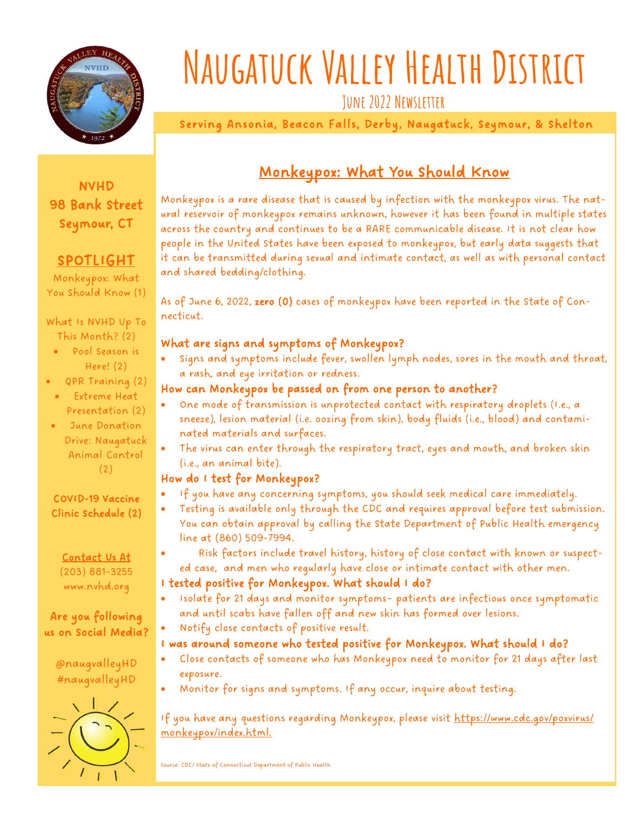

# **Naugatuck Valley Health District**

**June 2022 Newsletter**

Serving Ansonia, Beacon Falls, Derby, Naugatuck, Seymour, & Shelton

#### NVHD 98 Bank Street Seymour, CT

#### SPOTLIGHT

Monkeypox: What You Should Know (1)

#### What Is NVHD Up To This Month? (2)

- Pool Season is Here! (2)
- QPR Training (2)
- Extreme Heat Presentation (2)
- June Donation Drive: Naugatuck Animal Control (2)

#### COVID-19 Vaccine Clinic Schedule (2)

Contact Us At (203) 881-3255 www.nvhd.org

#### Are you following us on Social Media?

@naugvalleyHD #naugvalleyHD



### Monkeypox: What You Should Know

Monkeypox is a rare disease that is caused by infection with the monkeypox virus. The natural reservoir of monkeypox remains unknown, however it has been found in multiple states across the country and continues to be a RARE communicable disease. It is not clear how people in the United States have been exposed to monkeypox, but early data suggests that it can be transmitted during sexual and intimate contact, as well as with personal contact and shared bedding/clothing.

As of June 6, 2022, zero (0) cases of monkeypox have been reported in the State of Connecticut.

#### What are signs and symptoms of Monkeypox?

• Signs and symptoms include fever, swollen lymph nodes, sores in the mouth and throat, a rash, and eye irritation or redness.

#### How can Monkeypox be passed on from one person to another?

- One mode of transmission is unprotected contact with respiratory droplets (I.e., a sneeze), lesion material (i.e. oozing from skin), body fluids (i.e., blood) and contaminated materials and surfaces.
- The virus can enter through the respiratory tract, eyes and mouth, and broken skin (i.e., an animal bite).

#### How do I test for Monkeypox?

- If you have any concerning symptoms, you should seek medical care immediately.
- Testing is available only through the CDC and requires approval before test submission. You can obtain approval by calling the State Department of Public Health emergency line at (860) 509-7994.
- Risk factors include travel history, history of close contact with known or suspected case, and men who regularly have close or intimate contact with other men.

#### I tested positive for Monkeypox. What should I do?

- Isolate for 21 days and monitor symptoms– patients are infectious once symptomatic and until scabs have fallen off and new skin has formed over lesions.
- Notify close contacts of positive result.

#### I was around someone who tested positive for Monkeypox. What should I do?

- Close contacts of someone who has Monkeypox need to monitor for 21 days after last exposure.
- Monitor for signs and symptoms. If any occur, inquire about testing.

If you have any questions regarding Monkeypox, please visit https://www.cdc.gov/poxvirus/ monkeypox/index.html.

Source: CDC/ State of Connecticut Department of Public Health